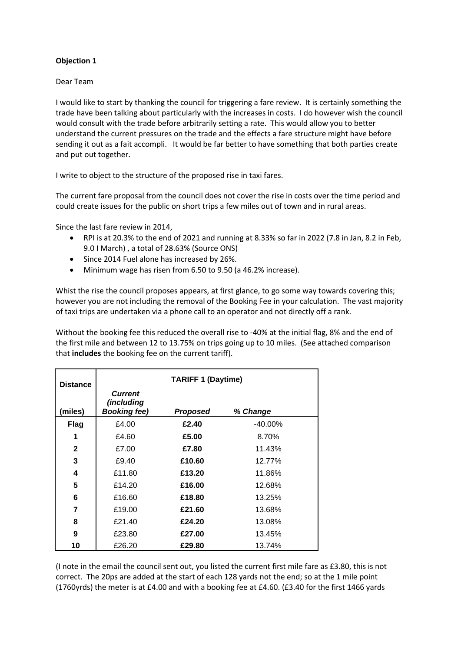### **Objection 1**

#### Dear Team

I would like to start by thanking the council for triggering a fare review. It is certainly something the trade have been talking about particularly with the increases in costs. I do however wish the council would consult with the trade before arbitrarily setting a rate. This would allow you to better understand the current pressures on the trade and the effects a fare structure might have before sending it out as a fait accompli. It would be far better to have something that both parties create and put out together.

I write to object to the structure of the proposed rise in taxi fares.

The current fare proposal from the council does not cover the rise in costs over the time period and could create issues for the public on short trips a few miles out of town and in rural areas.

Since the last fare review in 2014,

- RPI is at 20.3% to the end of 2021 and running at 8.33% so far in 2022 (7.8 in Jan, 8.2 in Feb, 9.0 I March) , a total of 28.63% (Source ONS)
- Since 2014 Fuel alone has increased by 26%.
- Minimum wage has risen from 6.50 to 9.50 (a 46.2% increase).

Whist the rise the council proposes appears, at first glance, to go some way towards covering this; however you are not including the removal of the Booking Fee in your calculation. The vast majority of taxi trips are undertaken via a phone call to an operator and not directly off a rank.

Without the booking fee this reduced the overall rise to -40% at the initial flag, 8% and the end of the first mile and between 12 to 13.75% on trips going up to 10 miles. (See attached comparison that **includes** the booking fee on the current tariff).

| <b>Distance</b> | <b>TARIFF 1 (Daytime)</b>                           |          |            |  |  |  |  |
|-----------------|-----------------------------------------------------|----------|------------|--|--|--|--|
| (miles)         | <b>Current</b><br>(including<br><b>Booking fee)</b> | Proposed | % Change   |  |  |  |  |
| Flag            | £4.00                                               | £2.40    | $-40.00\%$ |  |  |  |  |
|                 | £4.60                                               | £5.00    | 8.70%      |  |  |  |  |
| $\mathbf{2}$    | £7.00                                               | £7.80    | 11.43%     |  |  |  |  |
| 3               | £9.40                                               | £10.60   | 12.77%     |  |  |  |  |
| 4               | £11.80                                              | £13.20   | 11.86%     |  |  |  |  |
| 5               | £14.20                                              | £16.00   | 12.68%     |  |  |  |  |
| 6               | £16.60                                              | £18.80   | 13.25%     |  |  |  |  |
| 7               | £19.00                                              | £21.60   | 13.68%     |  |  |  |  |
| 8               | £21.40                                              | £24.20   | 13.08%     |  |  |  |  |
| 9               | £23.80                                              | £27.00   | 13.45%     |  |  |  |  |
| 10              | £26.20                                              | £29.80   | 13.74%     |  |  |  |  |

(I note in the email the council sent out, you listed the current first mile fare as £3.80, this is not correct. The 20ps are added at the start of each 128 yards not the end; so at the 1 mile point (1760yrds) the meter is at £4.00 and with a booking fee at £4.60. (£3.40 for the first 1466 yards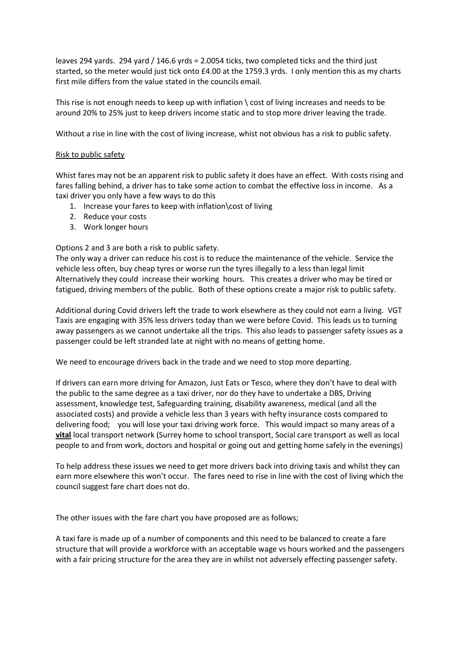leaves 294 yards. 294 yard / 146.6 yrds = 2.0054 ticks, two completed ticks and the third just started, so the meter would just tick onto £4.00 at the 1759.3 yrds. I only mention this as my charts first mile differs from the value stated in the councils email.

This rise is not enough needs to keep up with inflation \ cost of living increases and needs to be around 20% to 25% just to keep drivers income static and to stop more driver leaving the trade.

Without a rise in line with the cost of living increase, whist not obvious has a risk to public safety.

### Risk to public safety

Whist fares may not be an apparent risk to public safety it does have an effect. With costs rising and fares falling behind, a driver has to take some action to combat the effective loss in income. As a taxi driver you only have a few ways to do this

- 1. Increase your fares to keep with inflation\cost of living
- 2. Reduce your costs
- 3. Work longer hours

Options 2 and 3 are both a risk to public safety.

The only way a driver can reduce his cost is to reduce the maintenance of the vehicle. Service the vehicle less often, buy cheap tyres or worse run the tyres illegally to a less than legal limit Alternatively they could increase their working hours. This creates a driver who may be tired or fatigued, driving members of the public. Both of these options create a major risk to public safety.

Additional during Covid drivers left the trade to work elsewhere as they could not earn a living. VGT Taxis are engaging with 35% less drivers today than we were before Covid. This leads us to turning away passengers as we cannot undertake all the trips. This also leads to passenger safety issues as a passenger could be left stranded late at night with no means of getting home.

We need to encourage drivers back in the trade and we need to stop more departing.

If drivers can earn more driving for Amazon, Just Eats or Tesco, where they don't have to deal with the public to the same degree as a taxi driver, nor do they have to undertake a DBS, Driving assessment, knowledge test, Safeguarding training, disability awareness, medical (and all the associated costs) and provide a vehicle less than 3 years with hefty insurance costs compared to delivering food; you will lose your taxi driving work force. This would impact so many areas of a **vital** local transport network (Surrey home to school transport, Social care transport as well as local people to and from work, doctors and hospital or going out and getting home safely in the evenings)

To help address these issues we need to get more drivers back into driving taxis and whilst they can earn more elsewhere this won't occur. The fares need to rise in line with the cost of living which the council suggest fare chart does not do.

The other issues with the fare chart you have proposed are as follows;

A taxi fare is made up of a number of components and this need to be balanced to create a fare structure that will provide a workforce with an acceptable wage vs hours worked and the passengers with a fair pricing structure for the area they are in whilst not adversely effecting passenger safety.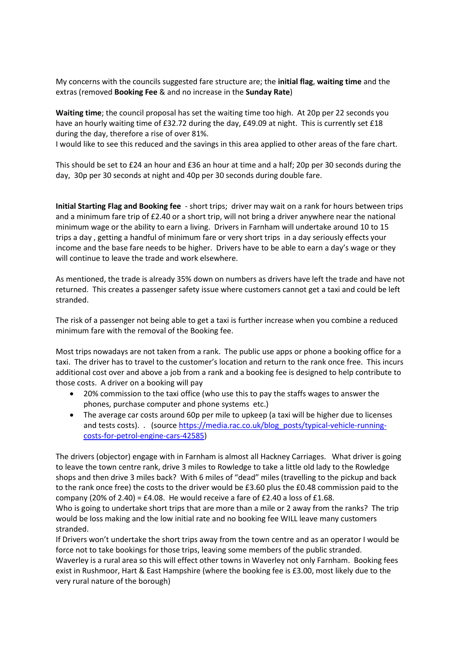My concerns with the councils suggested fare structure are; the **initial flag**, **waiting time** and the extras (removed **Booking Fee** & and no increase in the **Sunday Rate**)

**Waiting time**; the council proposal has set the waiting time too high. At 20p per 22 seconds you have an hourly waiting time of £32.72 during the day, £49.09 at night. This is currently set £18 during the day, therefore a rise of over 81%.

I would like to see this reduced and the savings in this area applied to other areas of the fare chart.

This should be set to £24 an hour and £36 an hour at time and a half; 20p per 30 seconds during the day, 30p per 30 seconds at night and 40p per 30 seconds during double fare.

**Initial Starting Flag and Booking fee** - short trips; driver may wait on a rank for hours between trips and a minimum fare trip of £2.40 or a short trip, will not bring a driver anywhere near the national minimum wage or the ability to earn a living. Drivers in Farnham will undertake around 10 to 15 trips a day , getting a handful of minimum fare or very short trips in a day seriously effects your income and the base fare needs to be higher. Drivers have to be able to earn a day's wage or they will continue to leave the trade and work elsewhere.

As mentioned, the trade is already 35% down on numbers as drivers have left the trade and have not returned. This creates a passenger safety issue where customers cannot get a taxi and could be left stranded.

The risk of a passenger not being able to get a taxi is further increase when you combine a reduced minimum fare with the removal of the Booking fee.

Most trips nowadays are not taken from a rank. The public use apps or phone a booking office for a taxi. The driver has to travel to the customer's location and return to the rank once free. This incurs additional cost over and above a job from a rank and a booking fee is designed to help contribute to those costs. A driver on a booking will pay

- 20% commission to the taxi office (who use this to pay the staffs wages to answer the phones, purchase computer and phone systems etc.)
- The average car costs around 60p per mile to upkeep (a taxi will be higher due to licenses and tests costs). . (source [https://media.rac.co.uk/blog\\_posts/typical-vehicle-running](https://media.rac.co.uk/blog_posts/typical-vehicle-running-costs-for-petrol-engine-cars-42585)[costs-for-petrol-engine-cars-42585\)](https://media.rac.co.uk/blog_posts/typical-vehicle-running-costs-for-petrol-engine-cars-42585)

The drivers (objector) engage with in Farnham is almost all Hackney Carriages. What driver is going to leave the town centre rank, drive 3 miles to Rowledge to take a little old lady to the Rowledge shops and then drive 3 miles back? With 6 miles of "dead" miles (travelling to the pickup and back to the rank once free) the costs to the driver would be £3.60 plus the £0.48 commission paid to the company (20% of 2.40) =  $E4.08$ . He would receive a fare of £2.40 a loss of £1.68.

Who is going to undertake short trips that are more than a mile or 2 away from the ranks? The trip would be loss making and the low initial rate and no booking fee WILL leave many customers stranded.

If Drivers won't undertake the short trips away from the town centre and as an operator I would be force not to take bookings for those trips, leaving some members of the public stranded.

Waverley is a rural area so this will effect other towns in Waverley not only Farnham. Booking fees exist in Rushmoor, Hart & East Hampshire (where the booking fee is £3.00, most likely due to the very rural nature of the borough)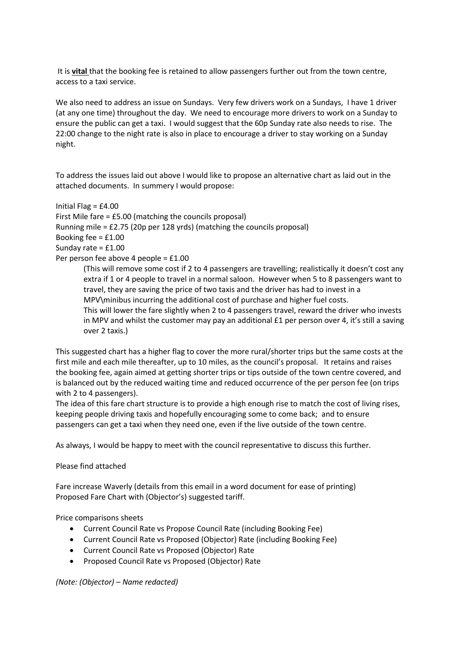It is **vital** that the booking fee is retained to allow passengers further out from the town centre, access to a taxi service.

We also need to address an issue on Sundays. Very few drivers work on a Sundays, I have 1 driver (at any one time) throughout the day. We need to encourage more drivers to work on a Sunday to ensure the public can get a taxi. I would suggest that the 60p Sunday rate also needs to rise. The 22:00 change to the night rate is also in place to encourage a driver to stay working on a Sunday night.

To address the issues laid out above I would like to propose an alternative chart as laid out in the attached documents. In summery I would propose:

Initial Flag = £4.00 First Mile fare = £5.00 (matching the councils proposal) Running mile = £2.75 (20p per 128 yrds) (matching the councils proposal) Booking fee = £1.00 Sunday rate = £1.00 Per person fee above 4 people = £1.00 (This will remove some cost if 2 to 4 passengers are travelling; realistically it doesn't cost any

extra if 1 or 4 people to travel in a normal saloon. However when 5 to 8 passengers want to travel, they are saving the price of two taxis and the driver has had to invest in a MPV\minibus incurring the additional cost of purchase and higher fuel costs. This will lower the fare slightly when 2 to 4 passengers travel, reward the driver who invests in MPV and whilst the customer may pay an additional  $E1$  per person over 4, it's still a saving over 2 taxis.)

This suggested chart has a higher flag to cover the more rural/shorter trips but the same costs at the first mile and each mile thereafter, up to 10 miles, as the council's proposal. It retains and raises the booking fee, again aimed at getting shorter trips or tips outside of the town centre covered, and is balanced out by the reduced waiting time and reduced occurrence of the per person fee (on trips with 2 to 4 passengers).

The idea of this fare chart structure is to provide a high enough rise to match the cost of living rises, keeping people driving taxis and hopefully encouraging some to come back; and to ensure passengers can get a taxi when they need one, even if the live outside of the town centre.

As always, I would be happy to meet with the council representative to discuss this further.

Please find attached

Fare increase Waverly (details from this email in a word document for ease of printing) Proposed Fare Chart with (Objector's) suggested tariff.

Price comparisons sheets

- Current Council Rate vs Propose Council Rate (including Booking Fee)
- Current Council Rate vs Proposed (Objector) Rate (including Booking Fee)
- Current Council Rate vs Proposed (Objector) Rate
- Proposed Council Rate vs Proposed (Objector) Rate

*(Note: (Objector) – Name redacted)*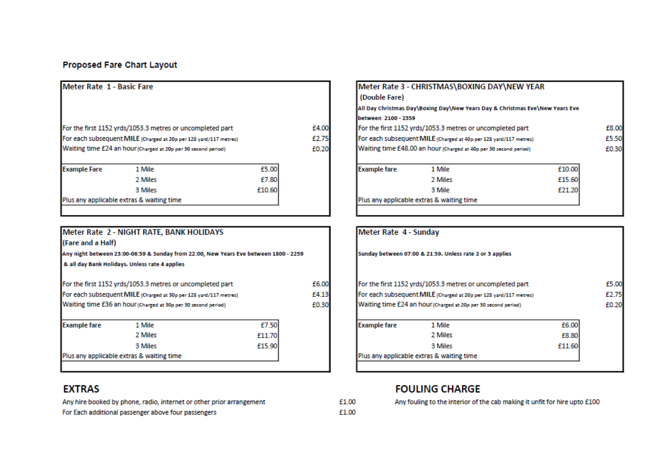## **Proposed Fare Chart Layout**

| Meter Rate 1 - Basic Fare |                                                                   |        |       |  |  |  |
|---------------------------|-------------------------------------------------------------------|--------|-------|--|--|--|
|                           | For the first 1152 yrds/1053.3 metres or uncompleted part         |        | £4.00 |  |  |  |
|                           | For each subsequent MILE (Charged at 20p per 128 yard/117 metres) |        |       |  |  |  |
|                           | Waiting time £24 an hour (Charged at 20p per 30 second period)    |        | £0.20 |  |  |  |
| <b>Example Fare</b>       | 1 Mile                                                            | £5.00  |       |  |  |  |
|                           | 2 Miles                                                           | £7.80  |       |  |  |  |
|                           | 3 Miles                                                           | £10.60 |       |  |  |  |
|                           |                                                                   |        |       |  |  |  |

|                                                                                                           | Meter Rate 2 - NIGHT RATE, BANK HOLIDAYS                          |        |      |  |  |  |  |
|-----------------------------------------------------------------------------------------------------------|-------------------------------------------------------------------|--------|------|--|--|--|--|
| (Fare and a Half)<br>Any night between 23:00-06:59 & Sunday from 22:00, New Years Eve between 1800 - 2259 |                                                                   |        |      |  |  |  |  |
|                                                                                                           |                                                                   |        |      |  |  |  |  |
|                                                                                                           | For the first 1152 yrds/1053.3 metres or uncompleted part         |        | £6.0 |  |  |  |  |
|                                                                                                           | For each subsequent MILE (Charged at 30p per 128 yard/117 metres) |        | £4.1 |  |  |  |  |
|                                                                                                           | Waiting time £36 an hour (Charged at 30p per 30 second period)    |        | £0.3 |  |  |  |  |
|                                                                                                           |                                                                   |        |      |  |  |  |  |
| <b>Example fare</b>                                                                                       | 1 Mile                                                            | £7.50  |      |  |  |  |  |
|                                                                                                           | 2 Miles                                                           | £11.70 |      |  |  |  |  |
|                                                                                                           | 3 Miles                                                           | £15.90 |      |  |  |  |  |

## **EXTRAS**

Any hire booked by phone, radio, internet or other prior arrangement For Each additional passenger above four passengers

|                                                                   | Meter Rate 3 - CHRISTMAS\BOXING DAY\NEW YEAR                                 |        |       |  |  |
|-------------------------------------------------------------------|------------------------------------------------------------------------------|--------|-------|--|--|
| (Double Fare)                                                     |                                                                              |        |       |  |  |
|                                                                   | All Day Christmas Day\Boxing Day\New Years Day & Christmas Eve\New Years Eve |        |       |  |  |
| lbetween 2100 - 2359                                              |                                                                              |        |       |  |  |
| For the first 1152 yrds/1053.3 metres or uncompleted part         |                                                                              |        |       |  |  |
| For each subsequent MILE (Charged at 40p per 128 yard/117 metres) |                                                                              |        |       |  |  |
|                                                                   | Waiting time £48.00 an hour (Charged at 40p per 30 second period)            |        | £0.30 |  |  |
| <b>Example fare</b>                                               | 1 Mile                                                                       | £10.00 |       |  |  |
|                                                                   | 2 Miles                                                                      | £15.60 |       |  |  |
|                                                                   | 3 Mile                                                                       | £21.20 |       |  |  |
|                                                                   | Plus any applicable extras & waiting time                                    |        |       |  |  |
|                                                                   |                                                                              |        |       |  |  |

|                                                                   | Meter Rate 4 - Sunday                                          |        |       |  |
|-------------------------------------------------------------------|----------------------------------------------------------------|--------|-------|--|
|                                                                   | Sunday between 07:00 & 21:59. Unless rate 2 or 3 applies       |        |       |  |
|                                                                   | For the first 1152 yrds/1053.3 metres or uncompleted part      |        | £5.00 |  |
| For each subsequent MILE (Charged at 20p per 128 yard/117 metres) |                                                                |        |       |  |
|                                                                   |                                                                |        | £2.75 |  |
|                                                                   | Waiting time £24 an hour (Charged at 20p per 30 second period) |        |       |  |
|                                                                   | 1 Mile                                                         | £6.00  | £0.20 |  |
|                                                                   | 2 Miles                                                        | £8.80  |       |  |
| <b>Example fare</b>                                               | 3 Miles                                                        | £11.60 |       |  |

## **FOULING CHARGE**

Any fouling to the interior of the cab making it unfit for hire upto £100

£1.00 £1.00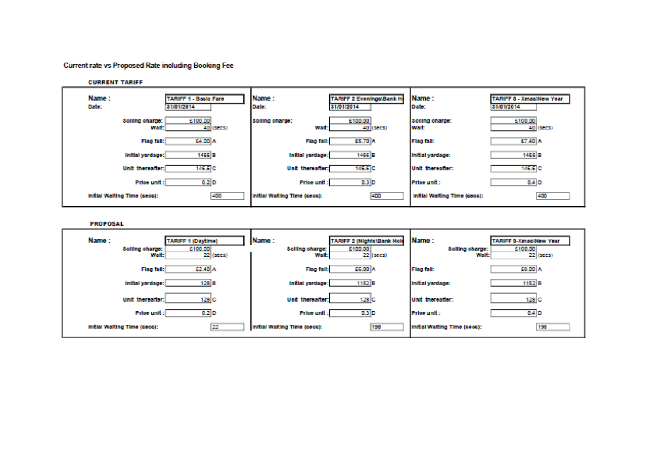#### Current rate vs Proposed Rate including Booking Fee

| <b>CURRENT TARIFF</b>        |                              |                                |
|------------------------------|------------------------------|--------------------------------|
| Name:                        | Name:                        | IName:                         |
| TARIFF 1 - Bacio Fare        | TARIFF 2 Evenings\Bank Ho    | <b>TARIFF 3 - XmacWew Year</b> |
| Dato:                        | 31/01/2014                   | Date:                          |
| 31/01/2014                   | Date:                        | 31/01/2014                     |
| 5100.00                      | £100.00                      | 5100.00                        |
| Solling charge:              | <b>Solling charge:</b>       | <b>Solling charge:</b>         |
| Walt: I                      | <b>Walt:</b>                 | <b>Walt:</b>                   |
| 40 (secs)                    | 40 (secs)                    | 40 (secs)                      |
| £4.00 A                      | £5.70 A                      | E7.40 A                        |
| Flag fall:                   | <b>Flag fall:</b>            | <b>Flag fall:</b>              |
| 1466 <sub>B</sub>            | 1466 <sup>B</sup>            | 1466 <sup>B</sup>              |
| Initial yardage:             | Initial yardage:             | Initial yardage:               |
| 146.6 C                      | $146.6$ C                    | $146.6$ C                      |
| <b>Unit thereafter:</b>      | Unit thereafter:             | Unit thereafter:               |
| 0.2 D                        | $0.3$ D                      | 0.4 D                          |
| Price unit:                  | Price unit:                  | Price unit:                    |
| 400                          | Initial Walting Time (sees): | Initial Walting Time (sees):   |
| Initial Walting Time (sees): | 400                          | 400                            |

**PROPOSAL** 

| Name:                        | Name:                        | <b>IName:</b>                 |
|------------------------------|------------------------------|-------------------------------|
| TARIFF 1 (Daytime)           | TARIFF 2 (Nights\Bank Hole   | <b>TARIFF 3-Xmac\New Year</b> |
| £100.00                      | £100.00                      | £100.00                       |
| Solling charge:              | <b>Solling charge:</b>       | Solling charge:               |
| 22 (secs)                    | $22$ (secs)                  | 22 (secs)                     |
| <b>Walt:</b>                 | <b>Walt:</b>                 | Walt:                         |
| £2.40 A                      | £6.00 A                      | £8.00 A                       |
| Flag fall:                   | <b>Flag fall:</b>            | <b>Flag fall:</b>             |
| 128 B                        | 1152 <sup>B</sup>            | 1152 <sup>B</sup>             |
| Initial yardage:             | Initial yardage:             | Initial yardage:              |
| <b>Unit thereafter:</b>      | 128 C                        | Unit thereafter:              |
| 128 C                        | Unit thereafter:             | 128 C                         |
| Price unit:                  | $0.3$ D                      | $0.4$ D                       |
| $0.2$ D                      | Price unit:                  | Price unit:                   |
| 22                           | 198                          | 198                           |
| Initial Walting Time (sees): | Initial Walting Time (sees): | Initial Walting Time (sees):  |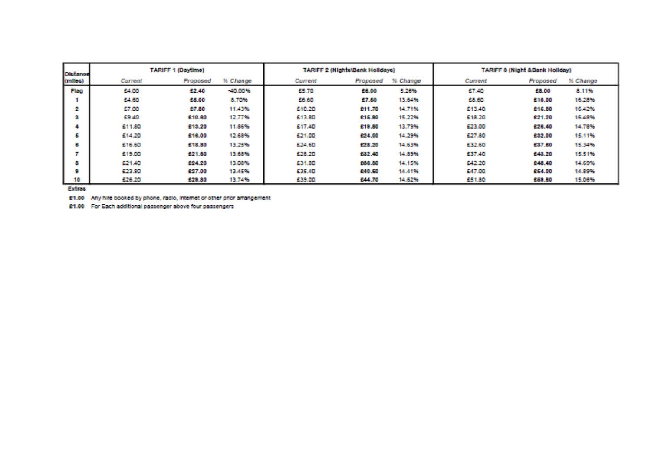| <b>Distance</b> |          | <b>TARIFF 2 (Nights)Bank Holidays)</b><br><b>TARIFF 1 (Daytime)</b> |            |         |          | <b>TARIFF 3 (Night &amp;Bank Holiday)</b> |          |          |          |
|-----------------|----------|---------------------------------------------------------------------|------------|---------|----------|-------------------------------------------|----------|----------|----------|
| (infles)        | Current  | Proposed                                                            | % Change   | Current | Proposed | % Change                                  | Current  | Proposed | % Change |
| <b>Hag</b>      | \$4.00   | 42.40                                                               | $-40.00\%$ | 55.70   | 938,00   | 5.26%                                     | 57.40    | 28.00    | 8.11%    |
|                 | \$4,60   | 25.00                                                               | 8.70%      | 55.60   | 27,50    | 13.64%                                    | 523.619  | 210.00   | 16,29%   |
|                 | 57.00    | 97.80                                                               | 11.43%     | 510.20  | 5311.70  | 14.71%                                    | 613.40   | 215.00   | 16.42%   |
| œ               | \$20,400 | 210.00                                                              | 12.77%     | 513.00  | 516.90   | 15.22%                                    | 518.20   | 421.20   | 16.48%   |
|                 | 611.80   | 213,20                                                              | 11,86%     | 517.40  | 619.80   | 13.79%                                    | 623,00   | 420.40   | 14,78%   |
| 6               | 614.20   | 210,00                                                              | 12,68%     | 521.00  | 124,00   | 14.29%                                    | 527.80   | 232.00   | 15.11%   |
| e.              | 616.60   | 218.80                                                              | 13,25%     | £24.60  | 123,20   | 14.63%                                    | 632.60   | 237.00   | 15,34%   |
|                 | 519.00   | 221.00                                                              | 13,68%     | \$28.20 | 122,40   | 14.89%                                    | E37.40   | 243.20   | 15.51%   |
| 8.              | 621.40   | 224,20                                                              | 13,08%     | 531.80  | 538,20   | 14.15%                                    | \$24,210 | 248,40   | 14.69%   |
| a               | 523.00   | 227.00                                                              | 13.45%     | 535.40  | £40.60   | 14,41%                                    | 547.00   | 264,00   | 14,89%   |
| 10              | 626.20   | 229.80                                                              | 13.74%     | 539.00  | 544.70   | 14.62%                                    | 651.80   | 250.00   | 15,06%   |

**Extras** 

£1.00 Any hire booked by phone, radio, internet or other prior arrangement

61.00 For Each additional passenger above four passengers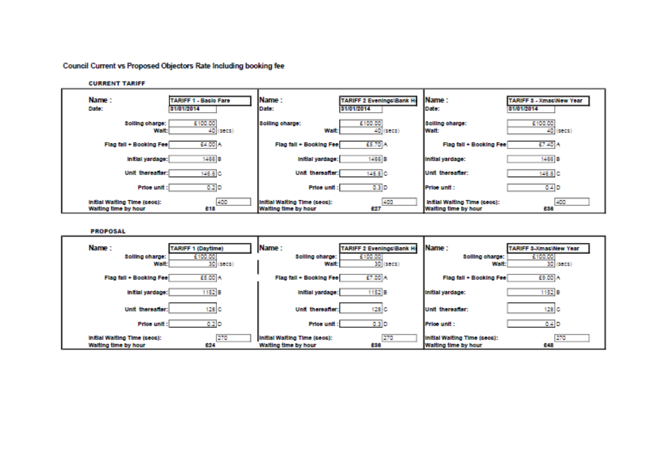Council Current vs Proposed Objectors Rate Including booking fee

| <b>CURRENT TARIFF</b>                                |                                |                                                      |                                               |                                                      |                                              |
|------------------------------------------------------|--------------------------------|------------------------------------------------------|-----------------------------------------------|------------------------------------------------------|----------------------------------------------|
| Name:<br>Date:<br>31/01/2014                         | <b>TARIFF 1 - Baclo Fare</b>   | Name:<br>Date:                                       | <b>TARIFF 2 EveningciBank H</b><br>31/01/2014 | <b>IName:</b><br>Date:                               | <b>TARIFF 3 - XmacWow Year</b><br>31/01/2014 |
| Solling charge:<br>Walt:                             | £100.00<br>40.<br>$($ secs $)$ | <b>Solling charge:</b><br><b>Walt:</b>               | £100.00<br>40 (secs)                          | <b>Solling charge:</b><br><b>Walt:</b>               | 5100.00<br>40 (secs)                         |
| Flag fall + Booking Fee                              | £4.00 A                        | Flag fall + Booking Fee                              | £5.70 A                                       | Flag fall + Booking Fee                              | 57.40 A                                      |
| initial yardage:                                     | 1466 B                         | Initial yardage:                                     | 1466 B                                        | Initial yardage:                                     | 1466 B                                       |
| <b>Unit thereafter:</b>                              | 146.6 <sup>C</sup>             | Unit thereafter:                                     | 146.6 C                                       | Unit thereafter:                                     | 146.6 C                                      |
| Price unit:                                          | 0.2 <sub>D</sub>               | Price unit:                                          | $0.3$ D                                       | <b>IPrice unit:</b>                                  | 0.4 D                                        |
| Initial Walting Time (sees):<br>Walting time by hour | 400<br>218                     | Initial Walting Time (sees):<br>Walting time by hour | 400<br>627                                    | initial Walting Time (sees):<br>Walting time by hour | 400<br>238                                   |

**PROPOSAL** 

| Name:<br>Solling charge:<br>Walt:                    | TARIFF 1 (Daytime)<br>£100.00<br>30 (secs) | Name:<br><b>Solling charge:</b><br>Walt              | TARIFF 2 Evenings\Bank He<br>£100.00<br>30 (secs) | Name:<br>Solling charge:<br><b>Walt:</b>             | <b>TARIFF 3-Xmac\New Year</b><br>5100.00<br>30 (secs) |
|------------------------------------------------------|--------------------------------------------|------------------------------------------------------|---------------------------------------------------|------------------------------------------------------|-------------------------------------------------------|
| Flag fall + Booking Fee                              | E5.00 A                                    | Flag fall + Booking Fee                              | £7.00 A                                           | Flag fall + Booking Fee                              | £9.00 A                                               |
| initial yardage:                                     | 152 B                                      | Initial yardage:                                     | 1152 B                                            | Initial yardage:                                     | 1152 B                                                |
| Unit thereafter:                                     | 128 C                                      | Unit thereafter:                                     | 128 C                                             | Unit thereafter:                                     | 128 C                                                 |
| Price unit:                                          | 0.2 D                                      | Price unit:                                          | $0.3$ D                                           | Price unit:                                          | 0.4 D                                                 |
| Initial Walting Time (sees):<br>Walting time by hour | 270<br>224                                 | Initial Walting Time (sees):<br>Walting time by hour | 270<br>£38                                        | Initial Walting Time (sees):<br>Walting time by hour | 270<br>248                                            |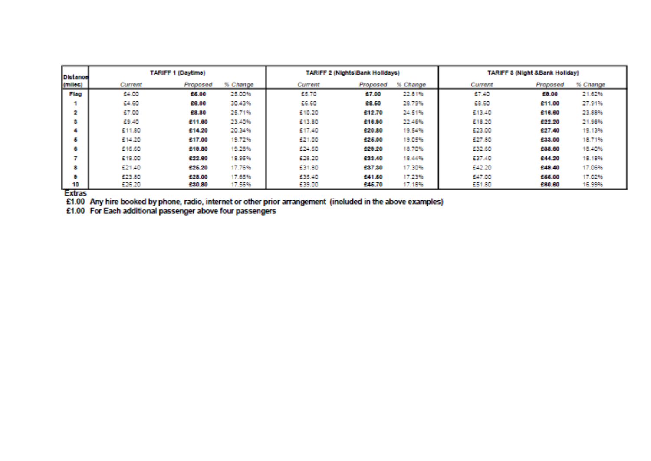| Distance                            |              | <b>TARIFF 1 (Daytime)</b> |          |         | <b>TARIFF 2 (Nights)Bank Holidavs)</b> |          | <b>TARIFF 3 (Night &amp;Bank Holiday)</b> |          |          |
|-------------------------------------|--------------|---------------------------|----------|---------|----------------------------------------|----------|-------------------------------------------|----------|----------|
| (miles)                             | Current      | Proposed                  | % Change | Current | Proposed                               | % Change | Current                                   | Proposed | % Change |
| Flag                                | <b>EA.DD</b> | 25.00                     | 25,00%   | 55.70   | 27.00                                  | 22.81%   | 57.40                                     | 29.00    | 21.62%   |
|                                     | 54.60        | 28.00                     | 30.43%   | 55.60   | 23,50                                  | 28.79%   | 68.60                                     | 211.00   | 27.91%   |
| 2.                                  | 57.00        | 23.30                     | 25.71%   | 510.20  | 612.70                                 | 24.51%   | 613.40                                    | 216,60   | 23.88%   |
| з.                                  | 53.40        | 211.00                    | 23.40%   | 513.80  | 210,90                                 | 22,46%   | 618.20                                    | 622.20   | 21,98%   |
|                                     | 511,80       | 214.20                    | 20.34%   | 517.40  | 220,80                                 | 19,54%   | 523.00                                    | 827.40   | 19.13%   |
| 6.                                  | 614.20       | 247.00                    | 19.72%   | 621.00  | 226,00                                 | 19.05%   | 527.80                                    | 233,00   | 18,71%   |
| œ.                                  | 616.60       | 219,80                    | 19.28%   | 624.60  | 529.20                                 | 18.70%   | 532.60                                    | 238,00   | 18,40%   |
|                                     | 619.00       | 622.00                    | 18.95%   | 628.20  | 233,40                                 | 18,44%   | 537.40                                    | 244.20   | 18.18%   |
| 81                                  | 521.40       | 226.20                    | 17.76%   | 631.80  | 237.30                                 | 17,30%   | \$42,20                                   | 249,40   | 17.06%   |
| U.                                  | 623.80       | 228.00                    | 17.65%   | 635.40  | 241,50                                 | 17.23%   | 547.00                                    | 266,00   | 17.02%   |
| 10<br>$\mathbf{r}$ and $\mathbf{r}$ | 526.20       | 230.80                    | 17,56%   | 639.00  | 645.70                                 | 17.18%   | 551.80                                    | 200,00   | 16,99%   |

**Extras** 

 $E1.00$  Any hire booked by phone, radio, internet or other prior arrangement (included in the above examples)  $E1.00$  For Each additional passenger above four passengers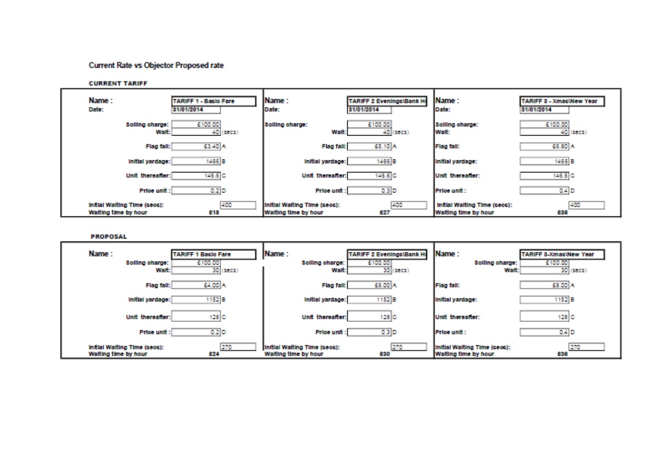## **Current Rate vs Objector Proposed rate**

**CURRENT TARIFF** 

| Name:<br>Date:                                       | TARIFF 1 - Basic Fare<br>31/01/2014 | Name:<br>Date:                                       | <b>TARIFF 2 Evenings\Bank Hd</b><br>31/01/2014 | <b>Name:</b><br>Date:                                | <b>TARIFF 3 - XmacWew Year</b><br>31/01/2014 |
|------------------------------------------------------|-------------------------------------|------------------------------------------------------|------------------------------------------------|------------------------------------------------------|----------------------------------------------|
| Solling charge:<br>Walt: I                           | E100.00<br>40 (secs)                | Solling charge:<br><b>Walt:</b>                      | 5100.00<br>40 (secs)                           | solling charge:<br><b>I Walt</b>                     | 5100.00<br>40 (secs)                         |
| Flag fall:                                           | E3.40 A                             | <b>Flag fall:</b>                                    | ES.10 A                                        | <b>Flag fall:</b>                                    | EG.80 A                                      |
| Initial yardage:                                     | 1466 <sup>B</sup>                   | Initial vardage:                                     | 1466 B                                         | <b>Initial vardage:</b>                              | 1466 B                                       |
| <b>Unit thereafter:</b>                              | 145.5 C                             | Unit therealter:                                     | 146.6 C                                        | Unit thereafter:                                     | 146.6 C                                      |
| Price unit:                                          | <b>D.2 D</b>                        | <b>Price unit:</b>                                   | 0.3 D                                          | <b>IPrice unit:</b>                                  | 0.4 D                                        |
| initial Walting Time (sees):<br>Waiting time by hour | 400<br>212                          | Initial Waiting Time (sees):<br>Walting time by hour | 1400<br>527                                    | initial Walting Time (sees):<br>Walting time by hour | 400<br>e un                                  |

**PROPOSAL** 

| Name:<br>Solling charge:<br>Walt:                    | <b>TARIFF 1 Basic Fare</b><br>£100,00<br>30 (secs) | Name:<br>Solling charge:<br><b>Walt:</b>             | TARIFF 2 Evenings\Bank He<br>6100.00<br>30 (secs) | Name:<br>Solling charge:<br>Walt:                    | TARIFF 3-Xmac\New Year<br>6100.00<br>30 (secs) |
|------------------------------------------------------|----------------------------------------------------|------------------------------------------------------|---------------------------------------------------|------------------------------------------------------|------------------------------------------------|
| Flag fall:                                           | EA.DO A                                            | <b>Flag fall:</b>                                    | 56.00 A                                           | <b>Flag fall:</b>                                    | E8.00 A                                        |
| Initial yardage:                                     | 1152 18                                            | Initial yardage:                                     | 152 B                                             | Initial yardage:                                     | 1152 B                                         |
| <b>Unit thereatier:</b>                              | 128 G.                                             | <b>Unit thereafter:</b>                              | 128 IC                                            | lunit thereafter:                                    | 128 C.                                         |
| <b>Price unit:</b>                                   | <b>D.2 D</b>                                       | <b>Price unit:</b>                                   | 0.3 D                                             | <b>IPrice unit:</b>                                  | <b>0.4 D</b>                                   |
| initial Walting Time (sees):<br>Walting time by hour | 270<br>224                                         | Initial Waiting Time (sees):<br>Walting time by hour | 270<br>4200                                       | Initial Walting Time (sees):<br>Walting time by hour | -270<br>23.00                                  |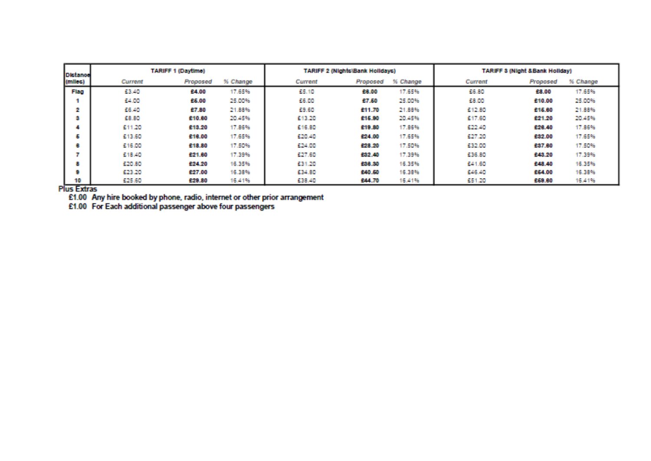| Distance    | <b>TARIFF 1 (Daytime)</b> |          |          | <b>TARIFF 2 (Nights)Bank Holidays)</b> |          |          | <b>TARIFF 3 (Night &amp;Bank Holiday)</b> |          |          |
|-------------|---------------------------|----------|----------|----------------------------------------|----------|----------|-------------------------------------------|----------|----------|
| (miles)     | Current                   | Proposed | % Change | Current                                | Proposed | % Change | Current                                   | Proposed | % Change |
| <b>Flag</b> | 53.40                     | 24.00    | 17.65%   | 55.10                                  | 22,00    | 17.65%   | 55.80                                     | 28.00    | 17.65%   |
|             | \$24,000                  | 25.00    | 25,00%   | 56.00                                  | P.T.AD   | 25,00%   | 533,100                                   | 210.00   | 25,00%   |
| 2           | 55.40                     | 47.80    | 21.88%   | <b>E9.60</b>                           | 611.70   | 21,88%   | 612.80                                    | 215,00   | 21,88%   |
| а           | 533, 841                  | 210.00   | 20.45%   | 513.20                                 | 616.00   | 201.45%  | 617.60                                    | 621.20   | 2014576  |
|             | 611.20                    | 213,20   | 17.86%   | 516.80                                 | 619.80   | 17,86%   | 522.40                                    | 820.40   | 17.86%   |
| Б           | \$13,60                   | 210.00   | 17.65%   | 520.40                                 | \$24.00  | 17.65%   | 627.20                                    | 632.00   | 17.65%   |
| о           | 616.00                    | 218,80   | 17.50%   | 524.00                                 | \$28.20  | 17.50%   | 532.00                                    | 237.00   | 17.50%   |
|             | £18.40                    | 521.00   | 17.39%   | 527.60                                 | 132.40   | 17.39%   | \$36,80                                   | £43.20   | 17.39%   |
| a           | 520.80                    | 224,20   | 16.35%   | 531.20                                 | £28.20   | 16.35%   | 641.60                                    | 248.40   | 16,35%   |
| u           | 523.20                    | 527.00   | 16.38%   | 434.80                                 | £40.60   | 16.38%   | \$46,40                                   | 264.00   | 16.38%   |
| 10          | 625.60                    | 429.80   | 16.41%   | 538.40                                 | £44.70   | 16.41%   | 551.20                                    | 669.00   | 16.41%   |

**Plus Extras** 

 $£1.00$  Any hire booked by phone, radio, internet or other prior arrangement  $£1.00$  For Each additional passenger above four passengers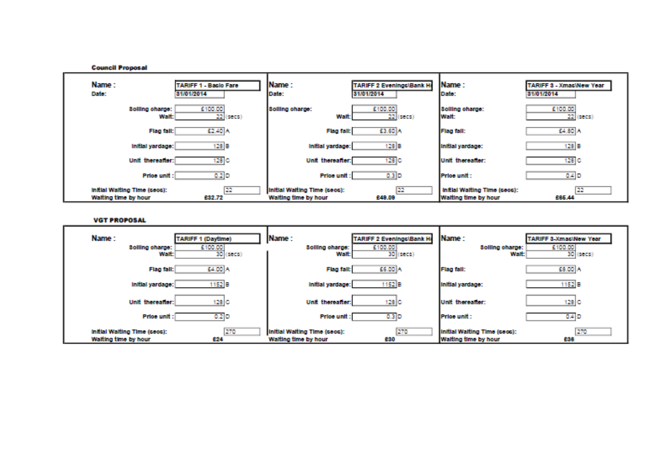

**VGT PROPOSAL** 

| Name:<br><b>Solling charge:</b><br>Walt: I           | TARIFF 1 (Daytime)<br>5100.00<br>30<br>$($ sec $\mathbf{x}$ $)$ | Name:<br>Solling charge:<br><b>Walt:</b>             | <b>TARIFF 2 Evenings\Bank H</b><br>5100.00<br>30)<br>(5005) | Name:<br><b>Solling charge:</b><br>Walt:             | <b>TARIFF 3 XmaclNew Year</b><br><b>E100.00</b><br>30 (secs) |
|------------------------------------------------------|-----------------------------------------------------------------|------------------------------------------------------|-------------------------------------------------------------|------------------------------------------------------|--------------------------------------------------------------|
| Flag fall:                                           | 64.00 A                                                         | <b>Flag fall:</b>                                    | £6.00 A                                                     | <b>Flag fall:</b>                                    | 58.00 A                                                      |
| Initial yardage:                                     | 1152 B                                                          | Initial yardage:                                     | 1152 B                                                      | Initial yardage:                                     | 1152 B                                                       |
| <b>Unit thereafter:</b>                              | 128 C                                                           | <b>Unit thereatier:</b>                              | 128 C                                                       | Unit thereatier:                                     | 128 C                                                        |
| Price unit:                                          | <b>D.2 D</b>                                                    | <b>Price unit:</b>                                   | 0.3 D                                                       | Price unit:                                          | <b>0.4 D</b>                                                 |
| Initial Walting Time (sees):<br>Walting time by hour | 270<br>824                                                      | Initial Waiting Time (sees):<br>Walting time by hour | 270<br>520                                                  | Initial Walting Time (sees):<br>Walting time by hour | 270<br>238                                                   |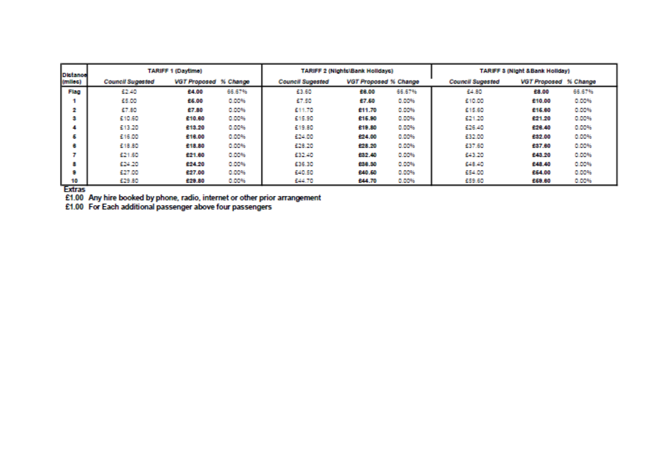| <b>Distance</b> | <b>TARIFF 1 (Daytime)</b> |                       |              | <b>TARIFF 2 (Nights)Bank Holidavs)</b> |                              |        | <b>TARIFF 3 (Night &amp;Bank Holiday)</b> |                       |               |
|-----------------|---------------------------|-----------------------|--------------|----------------------------------------|------------------------------|--------|-------------------------------------------|-----------------------|---------------|
| (miles)         | <b>Council Sugested</b>   | VGT Proposed % Change |              | <b>Council Sugested</b>                | <b>VGT Proposed % Change</b> |        | <b>Council Sucested</b>                   | VGT Proposed % Change |               |
| <b>Hap</b>      | 62.40                     | 24.00                 | 66.67%       | 53.60                                  | 933,00                       | 66.67% | 54.811                                    | 28.00                 | 66,67%        |
|                 | 65.00                     | 25.00                 | 0.00%        | 57.50                                  | 57.50                        | 0.00%  | 610,00                                    | 210.00                | <b>DUDDEN</b> |
| z               | 57.80                     | 47.80                 | 0.00%        | 611.70                                 | 511.70                       | 0.00%  | \$15,60                                   | 215,80                | 10.10196      |
| э               | 610,60                    | 210.00                | 0.00%        | 515.90                                 | 415.00                       | 0.00%  | 621.20                                    | 221.20                | 0.00%         |
|                 | 613.20                    | 213,20                | 0.00%        | 619.80                                 | 510,50                       | 0.00%  | \$26,40                                   | 228.40                | <b>D.DDWG</b> |
| 6.              | £16.00                    | 210,00                | 0.00%        | 624.00                                 | 124.00                       | 0.00%  | 632.00                                    | 532.00                | 0.00%         |
| ۰               | 518.80                    | 218.80                | 10,009%      | 628.20                                 | 123,20                       | 0.00%  | 537.60                                    | 237.00                | <b>D.DDWG</b> |
|                 | 621.60                    | \$21.00               | 0.00%        | 532.40                                 | 532,40                       | 0.00%  | 643.20                                    | 243,20                | 0.00%         |
| Ø.              | \$24,20                   | 224.20                | 0.00%        | 636.30                                 | 538.39                       | 0.00%  | \$248,40                                  | 248.40                | <b>DUBBYS</b> |
| o.              | 527.00                    | 627.00                | 10.002%      | 640.50                                 | 540,50                       | 0.00%  | 554.00                                    | 254.00                | <b>DUDDEN</b> |
| 10              | 629.80                    | 229.80                | <b>BUMPS</b> | 544.70                                 | 544.70                       | 0.00%  | 559.60                                    | 269,80                | <b>DUMPS</b>  |

Extras<br>E1.00 Any hire booked by phone, radio, internet or other prior arrangement<br>E1.00 For Each additional passenger above four passengers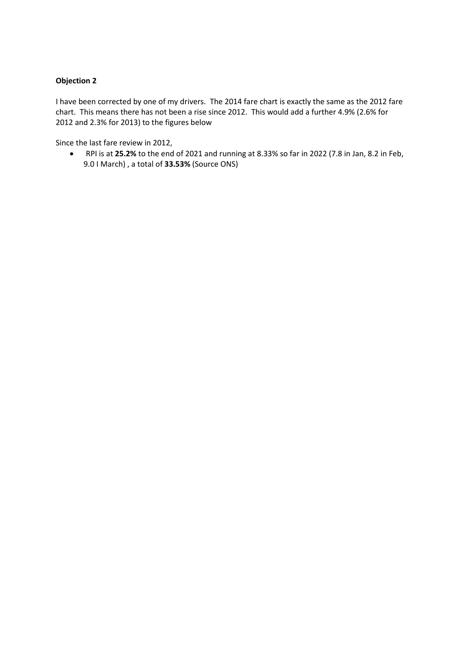## **Objection 2**

I have been corrected by one of my drivers. The 2014 fare chart is exactly the same as the 2012 fare chart. This means there has not been a rise since 2012. This would add a further 4.9% (2.6% for 2012 and 2.3% for 2013) to the figures below

Since the last fare review in 2012,

• RPI is at **25.2%** to the end of 2021 and running at 8.33% so far in 2022 (7.8 in Jan, 8.2 in Feb, 9.0 I March) , a total of **33.53%** (Source ONS)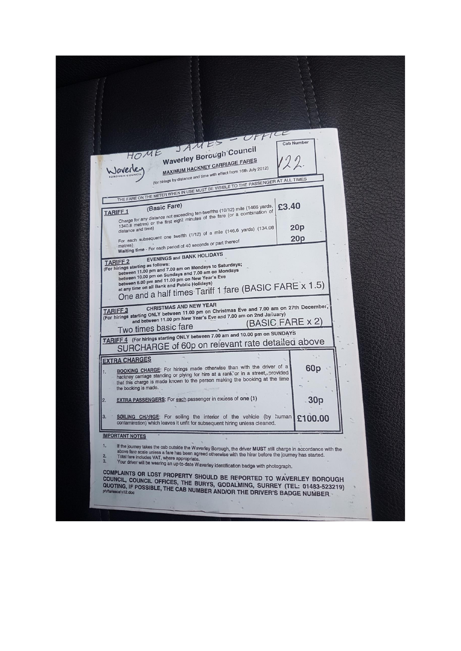| HOME SAMES<br><b>Cab Number</b><br>Waverley Borough Council<br>MAXIMUM HACKNEY CARRIAGE FARES<br>Waverley<br>(for hirings by distance and time with effect from 16th July 2012)<br>THE FARE ON THE METER WHEN IN USE MUST BE VISIBLE TO THE PASSENGER AT ALL TIMES<br>£3.40<br>Charge for any distance not exceeding ten-twelfths (10/12) mile (1466 yards,<br><b>TARIFF1</b><br>1340.8 metres) or the first eight minutes of the fare (or a combination of<br>20 <sub>P</sub><br>For each subsequent one twelfth (1/12) of a mile (146.6 yards) (134.08<br>20p<br>Waiting time - For each period of 40 seconds or part thereof<br><b>EVENINGS and BANK HOLIDAYS</b><br><b>TARIFF 2</b><br>(For hirings starting as follows:<br>between 11.00 pm and 7.00 am on Mondays to Saturdays;<br>between 10.00 pm on Sundays and 7.00 am on Mondays<br>between 6.00 pm and 11.00 pm on New Year's Eve<br>One and a half times Tariff 1 fare (BASIC FARE x 1.5)<br>(For hirings starting ONLY between 11.00 pm on Christmas Eve and 7.00 am on 27th December,<br>and between 11.00 pm New Year's Eve and 7.00 am on 2nd January)<br>(BASIC FARE x 2)<br>Two times basic fare<br>TARIFF 4 (For hirings starting ONLY between 7.00 am and 10.00 pm on SUNDAYS<br>SURCHARGE of 60p on relevant rate detailed above<br><b>EXTRA CHARGES</b><br><b>BOOKING CHARGE:</b> For hirings made otherwise than with the driver of a<br>60p<br>1.<br>hackney carriage standing or plying for hire at a rank or in a street, provided<br>that this charge is made known to the person making the booking at the time<br>the booking is made.<br><b>EXTRA PASSENGERS:</b> For each passenger in excess of one (1)<br>30p<br>SOILING CHARGE: For soiling the interior of the vehicle (by human)<br>З.<br>£100.00<br>contamination) which leaves it unfit for subsequent hiring unless cleaned.<br><b>IMPORTANT NOTES</b><br>1.<br>If the journey takes the cab outside the Waverley Borough, the driver MUST still charge in accordance with the<br>above fare scale unless a fare has been agreed otherwise with the hirer before the journey has started.<br>2.<br>Total fare includes VAT, where appropriate.<br>3.<br>Your driver will be wearing an up-to-date Waverley identification badge with photograph.<br>COMPLAINTS OR LOST PROPERTY SHOULD BE REPORTED TO WAVERLEY BOROUGH<br>COUNCIL, COUNCIL OFFICES, THE BURYS, GODALMING, SURREY (TEL: 01483-523219)<br>QUOTING, IF POSSIBLE, THE CAB NUMBER AND/OR THE DRIVER'S BADGE NUMBER. |  |
|------------------------------------------------------------------------------------------------------------------------------------------------------------------------------------------------------------------------------------------------------------------------------------------------------------------------------------------------------------------------------------------------------------------------------------------------------------------------------------------------------------------------------------------------------------------------------------------------------------------------------------------------------------------------------------------------------------------------------------------------------------------------------------------------------------------------------------------------------------------------------------------------------------------------------------------------------------------------------------------------------------------------------------------------------------------------------------------------------------------------------------------------------------------------------------------------------------------------------------------------------------------------------------------------------------------------------------------------------------------------------------------------------------------------------------------------------------------------------------------------------------------------------------------------------------------------------------------------------------------------------------------------------------------------------------------------------------------------------------------------------------------------------------------------------------------------------------------------------------------------------------------------------------------------------------------------------------------------------------------------------------------------------------------------------------------------------------------------------------------------------------------------------------------------------------------------------------------------------------------------------------------------------------------------------------------------------------------------------------------------------------------------------------------------------------------------------------------------------------------------------------------------|--|
|                                                                                                                                                                                                                                                                                                                                                                                                                                                                                                                                                                                                                                                                                                                                                                                                                                                                                                                                                                                                                                                                                                                                                                                                                                                                                                                                                                                                                                                                                                                                                                                                                                                                                                                                                                                                                                                                                                                                                                                                                                                                                                                                                                                                                                                                                                                                                                                                                                                                                                                        |  |
|                                                                                                                                                                                                                                                                                                                                                                                                                                                                                                                                                                                                                                                                                                                                                                                                                                                                                                                                                                                                                                                                                                                                                                                                                                                                                                                                                                                                                                                                                                                                                                                                                                                                                                                                                                                                                                                                                                                                                                                                                                                                                                                                                                                                                                                                                                                                                                                                                                                                                                                        |  |
|                                                                                                                                                                                                                                                                                                                                                                                                                                                                                                                                                                                                                                                                                                                                                                                                                                                                                                                                                                                                                                                                                                                                                                                                                                                                                                                                                                                                                                                                                                                                                                                                                                                                                                                                                                                                                                                                                                                                                                                                                                                                                                                                                                                                                                                                                                                                                                                                                                                                                                                        |  |
|                                                                                                                                                                                                                                                                                                                                                                                                                                                                                                                                                                                                                                                                                                                                                                                                                                                                                                                                                                                                                                                                                                                                                                                                                                                                                                                                                                                                                                                                                                                                                                                                                                                                                                                                                                                                                                                                                                                                                                                                                                                                                                                                                                                                                                                                                                                                                                                                                                                                                                                        |  |
|                                                                                                                                                                                                                                                                                                                                                                                                                                                                                                                                                                                                                                                                                                                                                                                                                                                                                                                                                                                                                                                                                                                                                                                                                                                                                                                                                                                                                                                                                                                                                                                                                                                                                                                                                                                                                                                                                                                                                                                                                                                                                                                                                                                                                                                                                                                                                                                                                                                                                                                        |  |
|                                                                                                                                                                                                                                                                                                                                                                                                                                                                                                                                                                                                                                                                                                                                                                                                                                                                                                                                                                                                                                                                                                                                                                                                                                                                                                                                                                                                                                                                                                                                                                                                                                                                                                                                                                                                                                                                                                                                                                                                                                                                                                                                                                                                                                                                                                                                                                                                                                                                                                                        |  |
|                                                                                                                                                                                                                                                                                                                                                                                                                                                                                                                                                                                                                                                                                                                                                                                                                                                                                                                                                                                                                                                                                                                                                                                                                                                                                                                                                                                                                                                                                                                                                                                                                                                                                                                                                                                                                                                                                                                                                                                                                                                                                                                                                                                                                                                                                                                                                                                                                                                                                                                        |  |
|                                                                                                                                                                                                                                                                                                                                                                                                                                                                                                                                                                                                                                                                                                                                                                                                                                                                                                                                                                                                                                                                                                                                                                                                                                                                                                                                                                                                                                                                                                                                                                                                                                                                                                                                                                                                                                                                                                                                                                                                                                                                                                                                                                                                                                                                                                                                                                                                                                                                                                                        |  |
|                                                                                                                                                                                                                                                                                                                                                                                                                                                                                                                                                                                                                                                                                                                                                                                                                                                                                                                                                                                                                                                                                                                                                                                                                                                                                                                                                                                                                                                                                                                                                                                                                                                                                                                                                                                                                                                                                                                                                                                                                                                                                                                                                                                                                                                                                                                                                                                                                                                                                                                        |  |
|                                                                                                                                                                                                                                                                                                                                                                                                                                                                                                                                                                                                                                                                                                                                                                                                                                                                                                                                                                                                                                                                                                                                                                                                                                                                                                                                                                                                                                                                                                                                                                                                                                                                                                                                                                                                                                                                                                                                                                                                                                                                                                                                                                                                                                                                                                                                                                                                                                                                                                                        |  |
|                                                                                                                                                                                                                                                                                                                                                                                                                                                                                                                                                                                                                                                                                                                                                                                                                                                                                                                                                                                                                                                                                                                                                                                                                                                                                                                                                                                                                                                                                                                                                                                                                                                                                                                                                                                                                                                                                                                                                                                                                                                                                                                                                                                                                                                                                                                                                                                                                                                                                                                        |  |
|                                                                                                                                                                                                                                                                                                                                                                                                                                                                                                                                                                                                                                                                                                                                                                                                                                                                                                                                                                                                                                                                                                                                                                                                                                                                                                                                                                                                                                                                                                                                                                                                                                                                                                                                                                                                                                                                                                                                                                                                                                                                                                                                                                                                                                                                                                                                                                                                                                                                                                                        |  |
|                                                                                                                                                                                                                                                                                                                                                                                                                                                                                                                                                                                                                                                                                                                                                                                                                                                                                                                                                                                                                                                                                                                                                                                                                                                                                                                                                                                                                                                                                                                                                                                                                                                                                                                                                                                                                                                                                                                                                                                                                                                                                                                                                                                                                                                                                                                                                                                                                                                                                                                        |  |
|                                                                                                                                                                                                                                                                                                                                                                                                                                                                                                                                                                                                                                                                                                                                                                                                                                                                                                                                                                                                                                                                                                                                                                                                                                                                                                                                                                                                                                                                                                                                                                                                                                                                                                                                                                                                                                                                                                                                                                                                                                                                                                                                                                                                                                                                                                                                                                                                                                                                                                                        |  |
|                                                                                                                                                                                                                                                                                                                                                                                                                                                                                                                                                                                                                                                                                                                                                                                                                                                                                                                                                                                                                                                                                                                                                                                                                                                                                                                                                                                                                                                                                                                                                                                                                                                                                                                                                                                                                                                                                                                                                                                                                                                                                                                                                                                                                                                                                                                                                                                                                                                                                                                        |  |
|                                                                                                                                                                                                                                                                                                                                                                                                                                                                                                                                                                                                                                                                                                                                                                                                                                                                                                                                                                                                                                                                                                                                                                                                                                                                                                                                                                                                                                                                                                                                                                                                                                                                                                                                                                                                                                                                                                                                                                                                                                                                                                                                                                                                                                                                                                                                                                                                                                                                                                                        |  |
|                                                                                                                                                                                                                                                                                                                                                                                                                                                                                                                                                                                                                                                                                                                                                                                                                                                                                                                                                                                                                                                                                                                                                                                                                                                                                                                                                                                                                                                                                                                                                                                                                                                                                                                                                                                                                                                                                                                                                                                                                                                                                                                                                                                                                                                                                                                                                                                                                                                                                                                        |  |
|                                                                                                                                                                                                                                                                                                                                                                                                                                                                                                                                                                                                                                                                                                                                                                                                                                                                                                                                                                                                                                                                                                                                                                                                                                                                                                                                                                                                                                                                                                                                                                                                                                                                                                                                                                                                                                                                                                                                                                                                                                                                                                                                                                                                                                                                                                                                                                                                                                                                                                                        |  |
|                                                                                                                                                                                                                                                                                                                                                                                                                                                                                                                                                                                                                                                                                                                                                                                                                                                                                                                                                                                                                                                                                                                                                                                                                                                                                                                                                                                                                                                                                                                                                                                                                                                                                                                                                                                                                                                                                                                                                                                                                                                                                                                                                                                                                                                                                                                                                                                                                                                                                                                        |  |
|                                                                                                                                                                                                                                                                                                                                                                                                                                                                                                                                                                                                                                                                                                                                                                                                                                                                                                                                                                                                                                                                                                                                                                                                                                                                                                                                                                                                                                                                                                                                                                                                                                                                                                                                                                                                                                                                                                                                                                                                                                                                                                                                                                                                                                                                                                                                                                                                                                                                                                                        |  |
|                                                                                                                                                                                                                                                                                                                                                                                                                                                                                                                                                                                                                                                                                                                                                                                                                                                                                                                                                                                                                                                                                                                                                                                                                                                                                                                                                                                                                                                                                                                                                                                                                                                                                                                                                                                                                                                                                                                                                                                                                                                                                                                                                                                                                                                                                                                                                                                                                                                                                                                        |  |
|                                                                                                                                                                                                                                                                                                                                                                                                                                                                                                                                                                                                                                                                                                                                                                                                                                                                                                                                                                                                                                                                                                                                                                                                                                                                                                                                                                                                                                                                                                                                                                                                                                                                                                                                                                                                                                                                                                                                                                                                                                                                                                                                                                                                                                                                                                                                                                                                                                                                                                                        |  |
|                                                                                                                                                                                                                                                                                                                                                                                                                                                                                                                                                                                                                                                                                                                                                                                                                                                                                                                                                                                                                                                                                                                                                                                                                                                                                                                                                                                                                                                                                                                                                                                                                                                                                                                                                                                                                                                                                                                                                                                                                                                                                                                                                                                                                                                                                                                                                                                                                                                                                                                        |  |
|                                                                                                                                                                                                                                                                                                                                                                                                                                                                                                                                                                                                                                                                                                                                                                                                                                                                                                                                                                                                                                                                                                                                                                                                                                                                                                                                                                                                                                                                                                                                                                                                                                                                                                                                                                                                                                                                                                                                                                                                                                                                                                                                                                                                                                                                                                                                                                                                                                                                                                                        |  |
|                                                                                                                                                                                                                                                                                                                                                                                                                                                                                                                                                                                                                                                                                                                                                                                                                                                                                                                                                                                                                                                                                                                                                                                                                                                                                                                                                                                                                                                                                                                                                                                                                                                                                                                                                                                                                                                                                                                                                                                                                                                                                                                                                                                                                                                                                                                                                                                                                                                                                                                        |  |
|                                                                                                                                                                                                                                                                                                                                                                                                                                                                                                                                                                                                                                                                                                                                                                                                                                                                                                                                                                                                                                                                                                                                                                                                                                                                                                                                                                                                                                                                                                                                                                                                                                                                                                                                                                                                                                                                                                                                                                                                                                                                                                                                                                                                                                                                                                                                                                                                                                                                                                                        |  |
|                                                                                                                                                                                                                                                                                                                                                                                                                                                                                                                                                                                                                                                                                                                                                                                                                                                                                                                                                                                                                                                                                                                                                                                                                                                                                                                                                                                                                                                                                                                                                                                                                                                                                                                                                                                                                                                                                                                                                                                                                                                                                                                                                                                                                                                                                                                                                                                                                                                                                                                        |  |